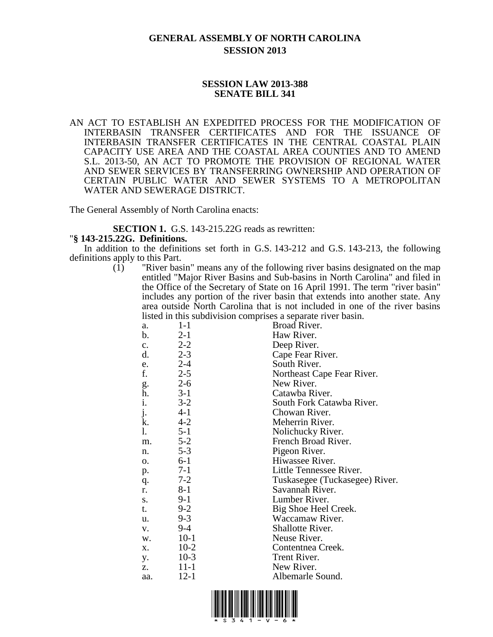## **GENERAL ASSEMBLY OF NORTH CAROLINA SESSION 2013**

## **SESSION LAW 2013-388 SENATE BILL 341**

AN ACT TO ESTABLISH AN EXPEDITED PROCESS FOR THE MODIFICATION OF INTERBASIN TRANSFER CERTIFICATES AND FOR THE ISSUANCE OF INTERBASIN TRANSFER CERTIFICATES IN THE CENTRAL COASTAL PLAIN CAPACITY USE AREA AND THE COASTAL AREA COUNTIES AND TO AMEND S.L. 2013-50, AN ACT TO PROMOTE THE PROVISION OF REGIONAL WATER AND SEWER SERVICES BY TRANSFERRING OWNERSHIP AND OPERATION OF CERTAIN PUBLIC WATER AND SEWER SYSTEMS TO A METROPOLITAN WATER AND SEWERAGE DISTRICT.

The General Assembly of North Carolina enacts:

**SECTION 1.** G.S. 143-215.22G reads as rewritten:

## "**§ 143-215.22G. Definitions.**

In addition to the definitions set forth in G.S. 143-212 and G.S. 143-213, the following definitions apply to this Part.

(1) "River basin" means any of the following river basins designated on the map entitled "Major River Basins and Sub-basins in North Carolina" and filed in the Office of the Secretary of State on 16 April 1991. The term "river basin" includes any portion of the river basin that extends into another state. Any area outside North Carolina that is not included in one of the river basins listed in this subdivision comprises a separate river basin.

| motor in this subdivision comprises a separate from easin. |          |                                |  |
|------------------------------------------------------------|----------|--------------------------------|--|
| a.                                                         | $1-1$    | Broad River.                   |  |
| b.                                                         | $2 - 1$  | Haw River.                     |  |
| c.                                                         | $2 - 2$  | Deep River.                    |  |
| d.                                                         | $2 - 3$  | Cape Fear River.               |  |
| e.                                                         | $2 - 4$  | South River.                   |  |
| f.                                                         | $2 - 5$  | Northeast Cape Fear River.     |  |
|                                                            | $2 - 6$  | New River.                     |  |
| g.<br>h.                                                   | $3-1$    | Catawba River.                 |  |
| i.                                                         | $3-2$    | South Fork Catawba River.      |  |
| j.                                                         | $4-1$    | Chowan River.                  |  |
| k.                                                         | $4 - 2$  | Meherrin River.                |  |
| 1.                                                         | $5 - 1$  | Nolichucky River.              |  |
| m.                                                         | $5 - 2$  | French Broad River.            |  |
| n.                                                         | $5 - 3$  | Pigeon River.                  |  |
| 0.                                                         | $6-1$    | Hiwassee River.                |  |
| p.                                                         | $7-1$    | Little Tennessee River.        |  |
| q.                                                         | $7 - 2$  | Tuskasegee (Tuckasegee) River. |  |
| r.                                                         | $8 - 1$  | Savannah River.                |  |
| S.                                                         | $9-1$    | Lumber River.                  |  |
| t.                                                         | $9 - 2$  | Big Shoe Heel Creek.           |  |
| u.                                                         | $9 - 3$  | Waccamaw River.                |  |
| V.                                                         | $9 - 4$  | Shallotte River.               |  |
| W.                                                         | $10-1$   | Neuse River.                   |  |
| X.                                                         | $10-2$   | Contentnea Creek.              |  |
| y.                                                         | $10-3$   | Trent River.                   |  |
| z.                                                         | $11-1$   | New River.                     |  |
| aa.                                                        | $12 - 1$ | Albemarle Sound.               |  |
|                                                            |          |                                |  |

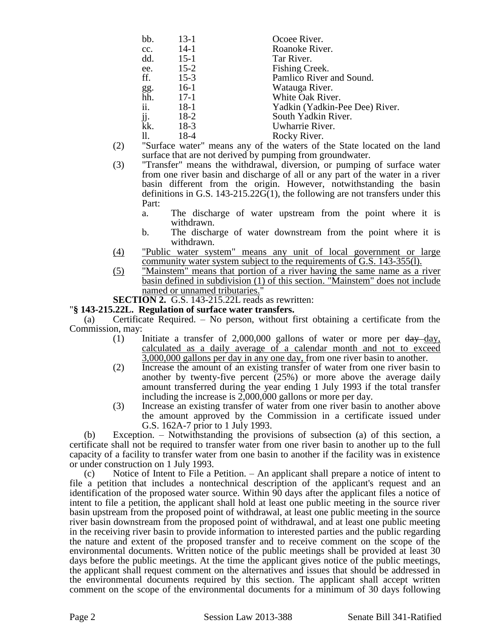| bb. | $13-1$   | Ocoee River.                   |
|-----|----------|--------------------------------|
| cc. | $14-1$   | Roanoke River.                 |
| dd. | $15-1$   | Tar River.                     |
| ee. | $15 - 2$ | Fishing Creek.                 |
| ff. | $15-3$   | Pamlico River and Sound.       |
| gg. | $16-1$   | Watauga River.                 |
| hh. | $17-1$   | White Oak River.               |
| ii. | $18-1$   | Yadkin (Yadkin-Pee Dee) River. |
| jj. | $18-2$   | South Yadkin River.            |
| kk. | $18-3$   | Uwharrie River.                |
| 11. | 18-4     | Rocky River.                   |
|     |          |                                |

- (2) "Surface water" means any of the waters of the State located on the land surface that are not derived by pumping from groundwater.
- (3) "Transfer" means the withdrawal, diversion, or pumping of surface water from one river basin and discharge of all or any part of the water in a river basin different from the origin. However, notwithstanding the basin definitions in G.S. 143-215.22G(1), the following are not transfers under this Part:
	- a. The discharge of water upstream from the point where it is withdrawn.
	- b. The discharge of water downstream from the point where it is withdrawn.
- (4) "Public water system" means any unit of local government or large community water system subject to the requirements of G.S. 143-355(l).
- (5) "Mainstem" means that portion of a river having the same name as a river basin defined in subdivision (1) of this section. "Mainstem" does not include named or unnamed tributaries.

**SECTION 2.** G.S. 143-215.22L reads as rewritten:

## "**§ 143-215.22L. Regulation of surface water transfers.**

(a) Certificate Required. – No person, without first obtaining a certificate from the Commission, may:

- (1) Initiate a transfer of 2,000,000 gallons of water or more per  $\frac{day}{day}$ , calculated as a daily average of a calendar month and not to exceed 3,000,000 gallons per day in any one day, from one river basin to another.
- (2) Increase the amount of an existing transfer of water from one river basin to another by twenty-five percent  $(25%)$  or more above the average daily amount transferred during the year ending 1 July 1993 if the total transfer including the increase is 2,000,000 gallons or more per day.
- (3) Increase an existing transfer of water from one river basin to another above the amount approved by the Commission in a certificate issued under G.S. 162A-7 prior to 1 July 1993.

(b) Exception. – Notwithstanding the provisions of subsection (a) of this section, a certificate shall not be required to transfer water from one river basin to another up to the full capacity of a facility to transfer water from one basin to another if the facility was in existence or under construction on 1 July 1993.

(c) Notice of Intent to File a Petition. – An applicant shall prepare a notice of intent to file a petition that includes a nontechnical description of the applicant's request and an identification of the proposed water source. Within 90 days after the applicant files a notice of intent to file a petition, the applicant shall hold at least one public meeting in the source river basin upstream from the proposed point of withdrawal, at least one public meeting in the source river basin downstream from the proposed point of withdrawal, and at least one public meeting in the receiving river basin to provide information to interested parties and the public regarding the nature and extent of the proposed transfer and to receive comment on the scope of the environmental documents. Written notice of the public meetings shall be provided at least 30 days before the public meetings. At the time the applicant gives notice of the public meetings, the applicant shall request comment on the alternatives and issues that should be addressed in the environmental documents required by this section. The applicant shall accept written comment on the scope of the environmental documents for a minimum of 30 days following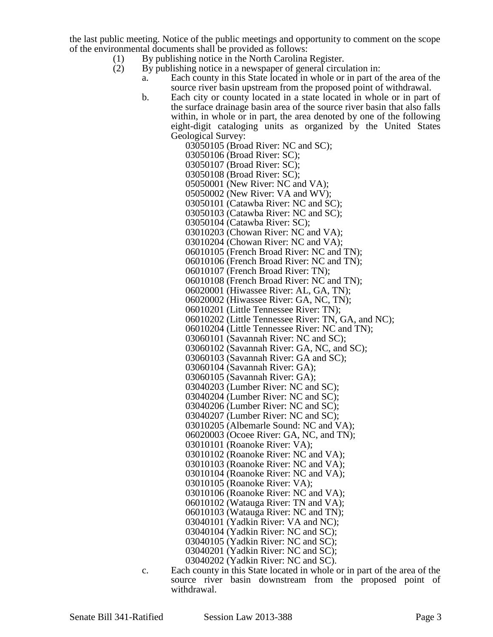the last public meeting. Notice of the public meetings and opportunity to comment on the scope of the environmental documents shall be provided as follows:

- (1) By publishing notice in the North Carolina Register.
- (2) By publishing notice in a newspaper of general circulation in:
	- a. Each county in this State located in whole or in part of the area of the source river basin upstream from the proposed point of withdrawal.
	- b. Each city or county located in a state located in whole or in part of the surface drainage basin area of the source river basin that also falls within, in whole or in part, the area denoted by one of the following eight-digit cataloging units as organized by the United States Geological Survey:

03050105 (Broad River: NC and SC); 03050106 (Broad River: SC); 03050107 (Broad River: SC); 03050108 (Broad River: SC); 05050001 (New River: NC and VA); 05050002 (New River: VA and WV); 03050101 (Catawba River: NC and SC); 03050103 (Catawba River: NC and SC); 03050104 (Catawba River: SC); 03010203 (Chowan River: NC and VA); 03010204 (Chowan River: NC and VA); 06010105 (French Broad River: NC and TN); 06010106 (French Broad River: NC and TN); 06010107 (French Broad River: TN); 06010108 (French Broad River: NC and TN); 06020001 (Hiwassee River: AL, GA, TN); 06020002 (Hiwassee River: GA, NC, TN); 06010201 (Little Tennessee River: TN); 06010202 (Little Tennessee River: TN, GA, and NC); 06010204 (Little Tennessee River: NC and TN); 03060101 (Savannah River: NC and SC); 03060102 (Savannah River: GA, NC, and SC); 03060103 (Savannah River: GA and SC); 03060104 (Savannah River: GA); 03060105 (Savannah River: GA); 03040203 (Lumber River: NC and SC); 03040204 (Lumber River: NC and SC); 03040206 (Lumber River: NC and SC); 03040207 (Lumber River: NC and SC); 03010205 (Albemarle Sound: NC and VA); 06020003 (Ocoee River: GA, NC, and TN); 03010101 (Roanoke River: VA); 03010102 (Roanoke River: NC and VA); 03010103 (Roanoke River: NC and VA); 03010104 (Roanoke River: NC and VA); 03010105 (Roanoke River: VA); 03010106 (Roanoke River: NC and VA); 06010102 (Watauga River: TN and VA); 06010103 (Watauga River: NC and TN); 03040101 (Yadkin River: VA and NC); 03040104 (Yadkin River: NC and SC); 03040105 (Yadkin River: NC and SC); 03040201 (Yadkin River: NC and SC); 03040202 (Yadkin River: NC and SC).

- 
- c. Each county in this State located in whole or in part of the area of the source river basin downstream from the proposed point of withdrawal.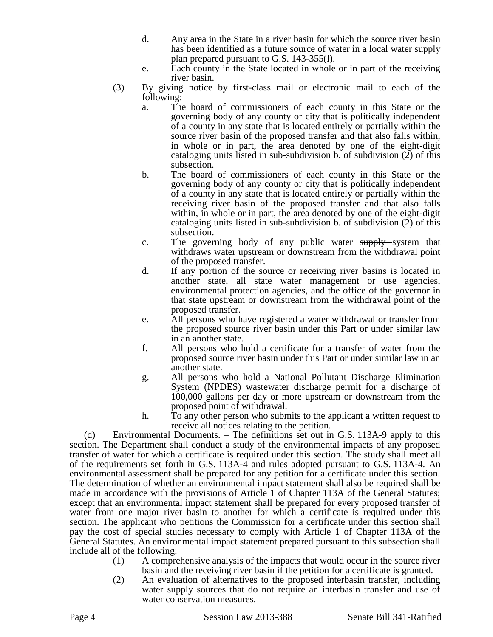- d. Any area in the State in a river basin for which the source river basin has been identified as a future source of water in a local water supply plan prepared pursuant to G.S. 143-355(l).
- e. Each county in the State located in whole or in part of the receiving river basin.
- (3) By giving notice by first-class mail or electronic mail to each of the following:
	- a. The board of commissioners of each county in this State or the governing body of any county or city that is politically independent of a county in any state that is located entirely or partially within the source river basin of the proposed transfer and that also falls within, in whole or in part, the area denoted by one of the eight-digit cataloging units listed in sub-subdivision b. of subdivision (2) of this subsection.
	- b. The board of commissioners of each county in this State or the governing body of any county or city that is politically independent of a county in any state that is located entirely or partially within the receiving river basin of the proposed transfer and that also falls within, in whole or in part, the area denoted by one of the eight-digit cataloging units listed in sub-subdivision b. of subdivision (2) of this subsection.
	- c. The governing body of any public water supply system that withdraws water upstream or downstream from the withdrawal point of the proposed transfer.
	- d. If any portion of the source or receiving river basins is located in another state, all state water management or use agencies, environmental protection agencies, and the office of the governor in that state upstream or downstream from the withdrawal point of the proposed transfer.
	- e. All persons who have registered a water withdrawal or transfer from the proposed source river basin under this Part or under similar law in an another state.
	- f. All persons who hold a certificate for a transfer of water from the proposed source river basin under this Part or under similar law in an another state.
	- g. All persons who hold a National Pollutant Discharge Elimination System (NPDES) wastewater discharge permit for a discharge of 100,000 gallons per day or more upstream or downstream from the proposed point of withdrawal.
	- h. To any other person who submits to the applicant a written request to receive all notices relating to the petition.

(d) Environmental Documents. – The definitions set out in G.S. 113A-9 apply to this section. The Department shall conduct a study of the environmental impacts of any proposed transfer of water for which a certificate is required under this section. The study shall meet all of the requirements set forth in G.S. 113A-4 and rules adopted pursuant to G.S. 113A-4. An environmental assessment shall be prepared for any petition for a certificate under this section. The determination of whether an environmental impact statement shall also be required shall be made in accordance with the provisions of Article 1 of Chapter 113A of the General Statutes; except that an environmental impact statement shall be prepared for every proposed transfer of water from one major river basin to another for which a certificate is required under this section. The applicant who petitions the Commission for a certificate under this section shall pay the cost of special studies necessary to comply with Article 1 of Chapter 113A of the General Statutes. An environmental impact statement prepared pursuant to this subsection shall include all of the following:

- (1) A comprehensive analysis of the impacts that would occur in the source river basin and the receiving river basin if the petition for a certificate is granted.
- (2) An evaluation of alternatives to the proposed interbasin transfer, including water supply sources that do not require an interbasin transfer and use of water conservation measures.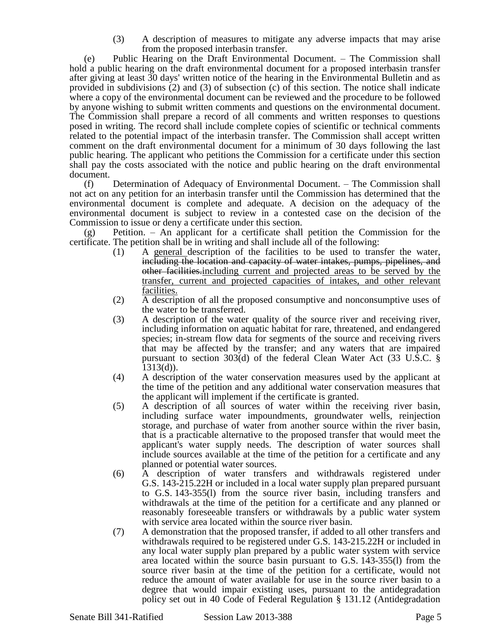(3) A description of measures to mitigate any adverse impacts that may arise from the proposed interbasin transfer.

(e) Public Hearing on the Draft Environmental Document. – The Commission shall hold a public hearing on the draft environmental document for a proposed interbasin transfer after giving at least 30 days' written notice of the hearing in the Environmental Bulletin and as provided in subdivisions (2) and (3) of subsection (c) of this section. The notice shall indicate where a copy of the environmental document can be reviewed and the procedure to be followed by anyone wishing to submit written comments and questions on the environmental document. The Commission shall prepare a record of all comments and written responses to questions posed in writing. The record shall include complete copies of scientific or technical comments related to the potential impact of the interbasin transfer. The Commission shall accept written comment on the draft environmental document for a minimum of 30 days following the last public hearing. The applicant who petitions the Commission for a certificate under this section shall pay the costs associated with the notice and public hearing on the draft environmental document.

(f) Determination of Adequacy of Environmental Document. – The Commission shall not act on any petition for an interbasin transfer until the Commission has determined that the environmental document is complete and adequate. A decision on the adequacy of the environmental document is subject to review in a contested case on the decision of the Commission to issue or deny a certificate under this section.

Petition. – An applicant for a certificate shall petition the Commission for the certificate. The petition shall be in writing and shall include all of the following:

- (1) A general description of the facilities to be used to transfer the water, including the location and capacity of water intakes, pumps, pipelines, and other facilities.including current and projected areas to be served by the transfer, current and projected capacities of intakes, and other relevant facilities.
- (2) A description of all the proposed consumptive and nonconsumptive uses of the water to be transferred.
- (3) A description of the water quality of the source river and receiving river, including information on aquatic habitat for rare, threatened, and endangered species; in-stream flow data for segments of the source and receiving rivers that may be affected by the transfer; and any waters that are impaired pursuant to section 303(d) of the federal Clean Water Act (33 U.S.C. § 1313(d)).
- (4) A description of the water conservation measures used by the applicant at the time of the petition and any additional water conservation measures that the applicant will implement if the certificate is granted.
- (5) A description of all sources of water within the receiving river basin, including surface water impoundments, groundwater wells, reinjection storage, and purchase of water from another source within the river basin, that is a practicable alternative to the proposed transfer that would meet the applicant's water supply needs. The description of water sources shall include sources available at the time of the petition for a certificate and any planned or potential water sources.
- (6) A description of water transfers and withdrawals registered under G.S. 143-215.22H or included in a local water supply plan prepared pursuant to G.S. 143-355(l) from the source river basin, including transfers and withdrawals at the time of the petition for a certificate and any planned or reasonably foreseeable transfers or withdrawals by a public water system with service area located within the source river basin.
- (7) A demonstration that the proposed transfer, if added to all other transfers and withdrawals required to be registered under G.S. 143-215.22H or included in any local water supply plan prepared by a public water system with service area located within the source basin pursuant to G.S. 143-355(l) from the source river basin at the time of the petition for a certificate, would not reduce the amount of water available for use in the source river basin to a degree that would impair existing uses, pursuant to the antidegradation policy set out in 40 Code of Federal Regulation § 131.12 (Antidegradation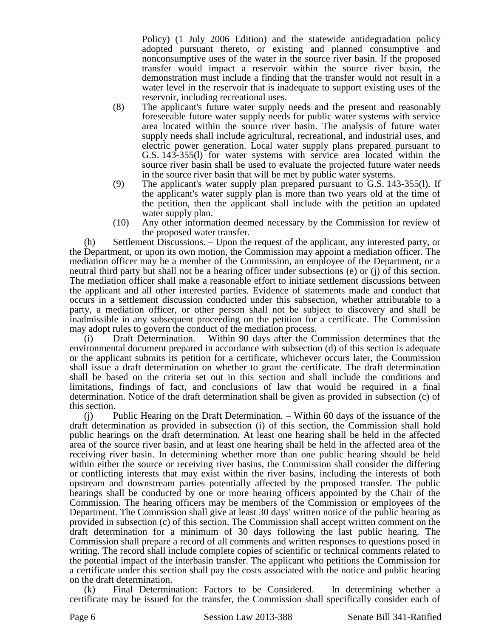Policy) (1 July 2006 Edition) and the statewide antidegradation policy adopted pursuant thereto, or existing and planned consumptive and nonconsumptive uses of the water in the source river basin. If the proposed transfer would impact a reservoir within the source river basin, the demonstration must include a finding that the transfer would not result in a water level in the reservoir that is inadequate to support existing uses of the reservoir, including recreational uses.

- (8) The applicant's future water supply needs and the present and reasonably foreseeable future water supply needs for public water systems with service area located within the source river basin. The analysis of future water supply needs shall include agricultural, recreational, and industrial uses, and electric power generation. Local water supply plans prepared pursuant to G.S. 143-355(l) for water systems with service area located within the source river basin shall be used to evaluate the projected future water needs in the source river basin that will be met by public water systems.
- (9) The applicant's water supply plan prepared pursuant to G.S. 143-355(l). If the applicant's water supply plan is more than two years old at the time of the petition, then the applicant shall include with the petition an updated water supply plan.
- (10) Any other information deemed necessary by the Commission for review of the proposed water transfer.

(h) Settlement Discussions. – Upon the request of the applicant, any interested party, or the Department, or upon its own motion, the Commission may appoint a mediation officer. The mediation officer may be a member of the Commission, an employee of the Department, or a neutral third party but shall not be a hearing officer under subsections (e) or (j) of this section. The mediation officer shall make a reasonable effort to initiate settlement discussions between the applicant and all other interested parties. Evidence of statements made and conduct that occurs in a settlement discussion conducted under this subsection, whether attributable to a party, a mediation officer, or other person shall not be subject to discovery and shall be inadmissible in any subsequent proceeding on the petition for a certificate. The Commission may adopt rules to govern the conduct of the mediation process.

(i) Draft Determination. – Within 90 days after the Commission determines that the environmental document prepared in accordance with subsection (d) of this section is adequate or the applicant submits its petition for a certificate, whichever occurs later, the Commission shall issue a draft determination on whether to grant the certificate. The draft determination shall be based on the criteria set out in this section and shall include the conditions and limitations, findings of fact, and conclusions of law that would be required in a final determination. Notice of the draft determination shall be given as provided in subsection (c) of this section.

(j) Public Hearing on the Draft Determination. – Within 60 days of the issuance of the draft determination as provided in subsection (i) of this section, the Commission shall hold public hearings on the draft determination. At least one hearing shall be held in the affected area of the source river basin, and at least one hearing shall be held in the affected area of the receiving river basin. In determining whether more than one public hearing should be held within either the source or receiving river basins, the Commission shall consider the differing or conflicting interests that may exist within the river basins, including the interests of both upstream and downstream parties potentially affected by the proposed transfer. The public hearings shall be conducted by one or more hearing officers appointed by the Chair of the Commission. The hearing officers may be members of the Commission or employees of the Department. The Commission shall give at least 30 days' written notice of the public hearing as provided in subsection (c) of this section. The Commission shall accept written comment on the draft determination for a minimum of 30 days following the last public hearing. The Commission shall prepare a record of all comments and written responses to questions posed in writing. The record shall include complete copies of scientific or technical comments related to the potential impact of the interbasin transfer. The applicant who petitions the Commission for a certificate under this section shall pay the costs associated with the notice and public hearing on the draft determination.

(k) Final Determination: Factors to be Considered. – In determining whether a certificate may be issued for the transfer, the Commission shall specifically consider each of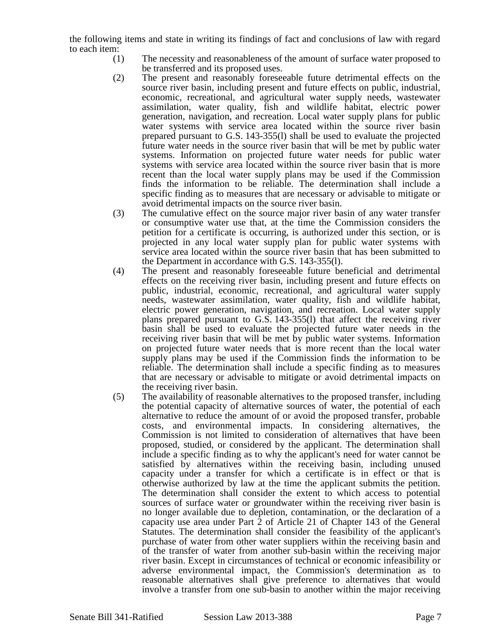the following items and state in writing its findings of fact and conclusions of law with regard to each item:

- (1) The necessity and reasonableness of the amount of surface water proposed to be transferred and its proposed uses.
- (2) The present and reasonably foreseeable future detrimental effects on the source river basin, including present and future effects on public, industrial, economic, recreational, and agricultural water supply needs, wastewater assimilation, water quality, fish and wildlife habitat, electric power generation, navigation, and recreation. Local water supply plans for public water systems with service area located within the source river basin prepared pursuant to G.S. 143-355(l) shall be used to evaluate the projected future water needs in the source river basin that will be met by public water systems. Information on projected future water needs for public water systems with service area located within the source river basin that is more recent than the local water supply plans may be used if the Commission finds the information to be reliable. The determination shall include a specific finding as to measures that are necessary or advisable to mitigate or avoid detrimental impacts on the source river basin.
- (3) The cumulative effect on the source major river basin of any water transfer or consumptive water use that, at the time the Commission considers the petition for a certificate is occurring, is authorized under this section, or is projected in any local water supply plan for public water systems with service area located within the source river basin that has been submitted to the Department in accordance with G.S. 143-355(l).
- (4) The present and reasonably foreseeable future beneficial and detrimental effects on the receiving river basin, including present and future effects on public, industrial, economic, recreational, and agricultural water supply needs, wastewater assimilation, water quality, fish and wildlife habitat, electric power generation, navigation, and recreation. Local water supply plans prepared pursuant to G.S. 143-355(l) that affect the receiving river basin shall be used to evaluate the projected future water needs in the receiving river basin that will be met by public water systems. Information on projected future water needs that is more recent than the local water supply plans may be used if the Commission finds the information to be reliable. The determination shall include a specific finding as to measures that are necessary or advisable to mitigate or avoid detrimental impacts on the receiving river basin.
- (5) The availability of reasonable alternatives to the proposed transfer, including the potential capacity of alternative sources of water, the potential of each alternative to reduce the amount of or avoid the proposed transfer, probable costs, and environmental impacts. In considering alternatives, the Commission is not limited to consideration of alternatives that have been proposed, studied, or considered by the applicant. The determination shall include a specific finding as to why the applicant's need for water cannot be satisfied by alternatives within the receiving basin, including unused capacity under a transfer for which a certificate is in effect or that is otherwise authorized by law at the time the applicant submits the petition. The determination shall consider the extent to which access to potential sources of surface water or groundwater within the receiving river basin is no longer available due to depletion, contamination, or the declaration of a capacity use area under Part 2 of Article 21 of Chapter 143 of the General Statutes. The determination shall consider the feasibility of the applicant's purchase of water from other water suppliers within the receiving basin and of the transfer of water from another sub-basin within the receiving major river basin. Except in circumstances of technical or economic infeasibility or adverse environmental impact, the Commission's determination as to reasonable alternatives shall give preference to alternatives that would involve a transfer from one sub-basin to another within the major receiving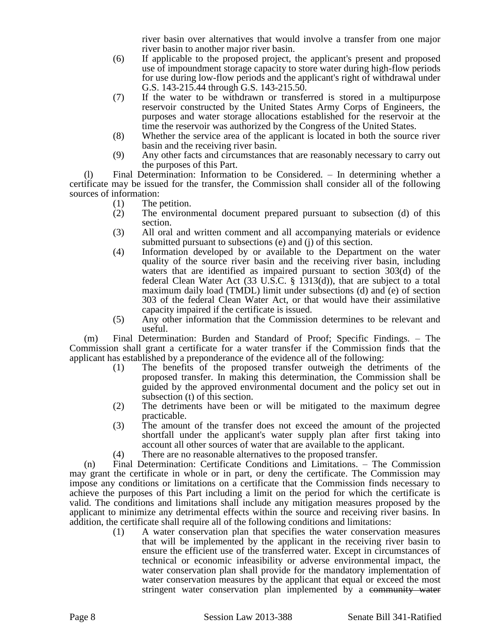river basin over alternatives that would involve a transfer from one major river basin to another major river basin.

- (6) If applicable to the proposed project, the applicant's present and proposed use of impoundment storage capacity to store water during high-flow periods for use during low-flow periods and the applicant's right of withdrawal under G.S. 143-215.44 through G.S. 143-215.50.
- (7) If the water to be withdrawn or transferred is stored in a multipurpose reservoir constructed by the United States Army Corps of Engineers, the purposes and water storage allocations established for the reservoir at the time the reservoir was authorized by the Congress of the United States.
- (8) Whether the service area of the applicant is located in both the source river basin and the receiving river basin.
- (9) Any other facts and circumstances that are reasonably necessary to carry out the purposes of this Part.

(l) Final Determination: Information to be Considered. – In determining whether a certificate may be issued for the transfer, the Commission shall consider all of the following sources of information:

- (1) The petition.
- (2) The environmental document prepared pursuant to subsection (d) of this section.
- (3) All oral and written comment and all accompanying materials or evidence submitted pursuant to subsections (e) and (j) of this section.
- (4) Information developed by or available to the Department on the water quality of the source river basin and the receiving river basin, including waters that are identified as impaired pursuant to section 303(d) of the federal Clean Water Act (33 U.S.C. § 1313(d)), that are subject to a total maximum daily load (TMDL) limit under subsections (d) and (e) of section 303 of the federal Clean Water Act, or that would have their assimilative capacity impaired if the certificate is issued.
- (5) Any other information that the Commission determines to be relevant and useful.

(m) Final Determination: Burden and Standard of Proof; Specific Findings. – The Commission shall grant a certificate for a water transfer if the Commission finds that the applicant has established by a preponderance of the evidence all of the following:

- (1) The benefits of the proposed transfer outweigh the detriments of the proposed transfer. In making this determination, the Commission shall be guided by the approved environmental document and the policy set out in subsection (t) of this section.
- (2) The detriments have been or will be mitigated to the maximum degree practicable.
- (3) The amount of the transfer does not exceed the amount of the projected shortfall under the applicant's water supply plan after first taking into account all other sources of water that are available to the applicant.
- (4) There are no reasonable alternatives to the proposed transfer.

(n) Final Determination: Certificate Conditions and Limitations. – The Commission may grant the certificate in whole or in part, or deny the certificate. The Commission may impose any conditions or limitations on a certificate that the Commission finds necessary to achieve the purposes of this Part including a limit on the period for which the certificate is valid. The conditions and limitations shall include any mitigation measures proposed by the applicant to minimize any detrimental effects within the source and receiving river basins. In addition, the certificate shall require all of the following conditions and limitations:

(1) A water conservation plan that specifies the water conservation measures that will be implemented by the applicant in the receiving river basin to ensure the efficient use of the transferred water. Except in circumstances of technical or economic infeasibility or adverse environmental impact, the water conservation plan shall provide for the mandatory implementation of water conservation measures by the applicant that equal or exceed the most stringent water conservation plan implemented by a community water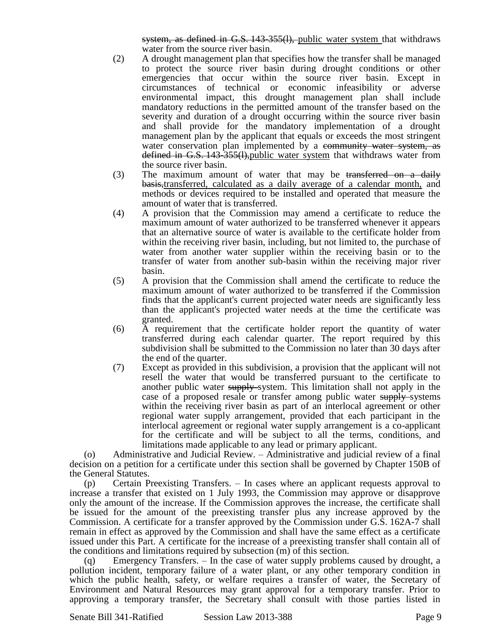system, as defined in G.S. 143-355(1), public water system that withdraws water from the source river basin.

- (2) A drought management plan that specifies how the transfer shall be managed to protect the source river basin during drought conditions or other emergencies that occur within the source river basin. Except in circumstances of technical or economic infeasibility or adverse environmental impact, this drought management plan shall include mandatory reductions in the permitted amount of the transfer based on the severity and duration of a drought occurring within the source river basin and shall provide for the mandatory implementation of a drought management plan by the applicant that equals or exceeds the most stringent water conservation plan implemented by a community water system, as defined in G.S. 143-355(l),public water system that withdraws water from the source river basin.
- (3) The maximum amount of water that may be transferred on a daily basis,transferred, calculated as a daily average of a calendar month, and methods or devices required to be installed and operated that measure the amount of water that is transferred.
- (4) A provision that the Commission may amend a certificate to reduce the maximum amount of water authorized to be transferred whenever it appears that an alternative source of water is available to the certificate holder from within the receiving river basin, including, but not limited to, the purchase of water from another water supplier within the receiving basin or to the transfer of water from another sub-basin within the receiving major river basin.
- (5) A provision that the Commission shall amend the certificate to reduce the maximum amount of water authorized to be transferred if the Commission finds that the applicant's current projected water needs are significantly less than the applicant's projected water needs at the time the certificate was granted.
- (6) A requirement that the certificate holder report the quantity of water transferred during each calendar quarter. The report required by this subdivision shall be submitted to the Commission no later than 30 days after the end of the quarter.
- (7) Except as provided in this subdivision, a provision that the applicant will not resell the water that would be transferred pursuant to the certificate to another public water supply-system. This limitation shall not apply in the case of a proposed resale or transfer among public water supply systems within the receiving river basin as part of an interlocal agreement or other regional water supply arrangement, provided that each participant in the interlocal agreement or regional water supply arrangement is a co-applicant for the certificate and will be subject to all the terms, conditions, and limitations made applicable to any lead or primary applicant.

(o) Administrative and Judicial Review. – Administrative and judicial review of a final decision on a petition for a certificate under this section shall be governed by Chapter 150B of the General Statutes.

(p) Certain Preexisting Transfers. – In cases where an applicant requests approval to increase a transfer that existed on 1 July 1993, the Commission may approve or disapprove only the amount of the increase. If the Commission approves the increase, the certificate shall be issued for the amount of the preexisting transfer plus any increase approved by the Commission. A certificate for a transfer approved by the Commission under G.S. 162A-7 shall remain in effect as approved by the Commission and shall have the same effect as a certificate issued under this Part. A certificate for the increase of a preexisting transfer shall contain all of the conditions and limitations required by subsection (m) of this section.

(q) Emergency Transfers. – In the case of water supply problems caused by drought, a pollution incident, temporary failure of a water plant, or any other temporary condition in which the public health, safety, or welfare requires a transfer of water, the Secretary of Environment and Natural Resources may grant approval for a temporary transfer. Prior to approving a temporary transfer, the Secretary shall consult with those parties listed in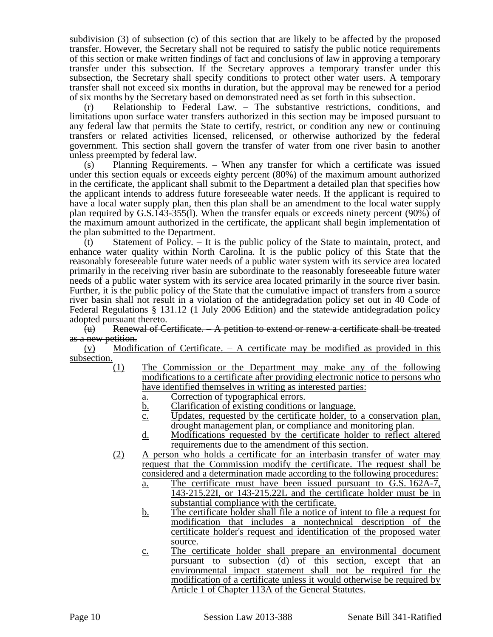subdivision (3) of subsection (c) of this section that are likely to be affected by the proposed transfer. However, the Secretary shall not be required to satisfy the public notice requirements of this section or make written findings of fact and conclusions of law in approving a temporary transfer under this subsection. If the Secretary approves a temporary transfer under this subsection, the Secretary shall specify conditions to protect other water users. A temporary transfer shall not exceed six months in duration, but the approval may be renewed for a period of six months by the Secretary based on demonstrated need as set forth in this subsection.

(r) Relationship to Federal Law. – The substantive restrictions, conditions, and limitations upon surface water transfers authorized in this section may be imposed pursuant to any federal law that permits the State to certify, restrict, or condition any new or continuing transfers or related activities licensed, relicensed, or otherwise authorized by the federal government. This section shall govern the transfer of water from one river basin to another unless preempted by federal law.

(s) Planning Requirements. – When any transfer for which a certificate was issued under this section equals or exceeds eighty percent (80%) of the maximum amount authorized in the certificate, the applicant shall submit to the Department a detailed plan that specifies how the applicant intends to address future foreseeable water needs. If the applicant is required to have a local water supply plan, then this plan shall be an amendment to the local water supply plan required by G.S.143-355(l). When the transfer equals or exceeds ninety percent (90%) of the maximum amount authorized in the certificate, the applicant shall begin implementation of the plan submitted to the Department.

(t) Statement of Policy. – It is the public policy of the State to maintain, protect, and enhance water quality within North Carolina. It is the public policy of this State that the reasonably foreseeable future water needs of a public water system with its service area located primarily in the receiving river basin are subordinate to the reasonably foreseeable future water needs of a public water system with its service area located primarily in the source river basin. Further, it is the public policy of the State that the cumulative impact of transfers from a source river basin shall not result in a violation of the antidegradation policy set out in 40 Code of Federal Regulations § 131.12 (1 July 2006 Edition) and the statewide antidegradation policy adopted pursuant thereto.

(u) Renewal of Certificate. – A petition to extend or renew a certificate shall be treated as a new petition.

(v) Modification of Certificate. – A certificate may be modified as provided in this subsection.

- (1) The Commission or the Department may make any of the following modifications to a certificate after providing electronic notice to persons who have identified themselves in writing as interested parties:
	- a. Correction of typographical errors.
	- b. Clarification of existing conditions or language.
	- c. Updates, requested by the certificate holder, to a conservation plan, drought management plan, or compliance and monitoring plan.
	- d. Modifications requested by the certificate holder to reflect altered requirements due to the amendment of this section.
- (2) A person who holds a certificate for an interbasin transfer of water may request that the Commission modify the certificate. The request shall be considered and a determination made according to the following procedures:
	- a. The certificate must have been issued pursuant to G.S. 162A-7, 143-215.22I, or 143-215.22L and the certificate holder must be in substantial compliance with the certificate.
	- b. The certificate holder shall file a notice of intent to file a request for modification that includes a nontechnical description of the certificate holder's request and identification of the proposed water source.
	- c. The certificate holder shall prepare an environmental document pursuant to subsection (d) of this section, except that an environmental impact statement shall not be required for the modification of a certificate unless it would otherwise be required by Article 1 of Chapter 113A of the General Statutes.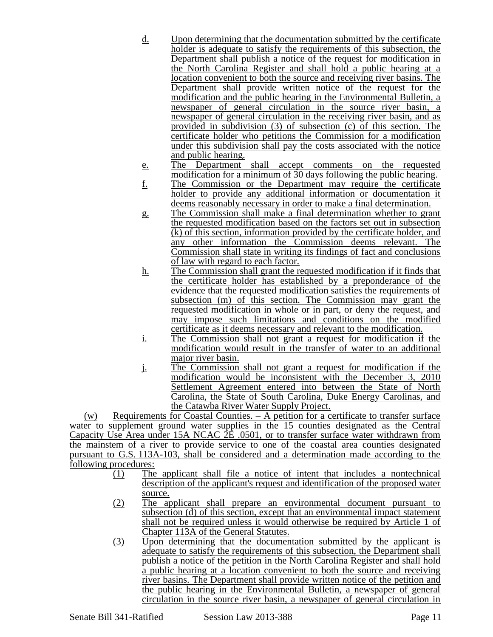- d. Upon determining that the documentation submitted by the certificate holder is adequate to satisfy the requirements of this subsection, the Department shall publish a notice of the request for modification in the North Carolina Register and shall hold a public hearing at a location convenient to both the source and receiving river basins. The Department shall provide written notice of the request for the modification and the public hearing in the Environmental Bulletin, a newspaper of general circulation in the source river basin, a newspaper of general circulation in the receiving river basin, and as provided in subdivision (3) of subsection (c) of this section. The certificate holder who petitions the Commission for a modification under this subdivision shall pay the costs associated with the notice and public hearing.
- e. The Department shall accept comments on the requested modification for a minimum of 30 days following the public hearing.
- f. The Commission or the Department may require the certificate holder to provide any additional information or documentation it deems reasonably necessary in order to make a final determination.
- g. The Commission shall make a final determination whether to grant the requested modification based on the factors set out in subsection (k) of this section, information provided by the certificate holder, and any other information the Commission deems relevant. The Commission shall state in writing its findings of fact and conclusions of law with regard to each factor.
- h. The Commission shall grant the requested modification if it finds that the certificate holder has established by a preponderance of the evidence that the requested modification satisfies the requirements of subsection (m) of this section. The Commission may grant the requested modification in whole or in part, or deny the request, and may impose such limitations and conditions on the modified certificate as it deems necessary and relevant to the modification.
- i. The Commission shall not grant a request for modification if the modification would result in the transfer of water to an additional major river basin.
- j. The Commission shall not grant a request for modification if the modification would be inconsistent with the December 3, 2010 Settlement Agreement entered into between the State of North Carolina, the State of South Carolina, Duke Energy Carolinas, and the Catawba River Water Supply Project.

(w) Requirements for Coastal Counties. – A petition for a certificate to transfer surface water to supplement ground water supplies in the 15 counties designated as the Central Capacity Use Area under 15A NCAC 2E .0501, or to transfer surface water withdrawn from the mainstem of a river to provide service to one of the coastal area counties designated pursuant to G.S. 113A-103, shall be considered and a determination made according to the following procedures:

- (1) The applicant shall file a notice of intent that includes a nontechnical description of the applicant's request and identification of the proposed water source.
- (2) The applicant shall prepare an environmental document pursuant to subsection (d) of this section, except that an environmental impact statement shall not be required unless it would otherwise be required by Article 1 of Chapter 113A of the General Statutes.
- (3) Upon determining that the documentation submitted by the applicant is adequate to satisfy the requirements of this subsection, the Department shall publish a notice of the petition in the North Carolina Register and shall hold a public hearing at a location convenient to both the source and receiving river basins. The Department shall provide written notice of the petition and the public hearing in the Environmental Bulletin, a newspaper of general circulation in the source river basin, a newspaper of general circulation in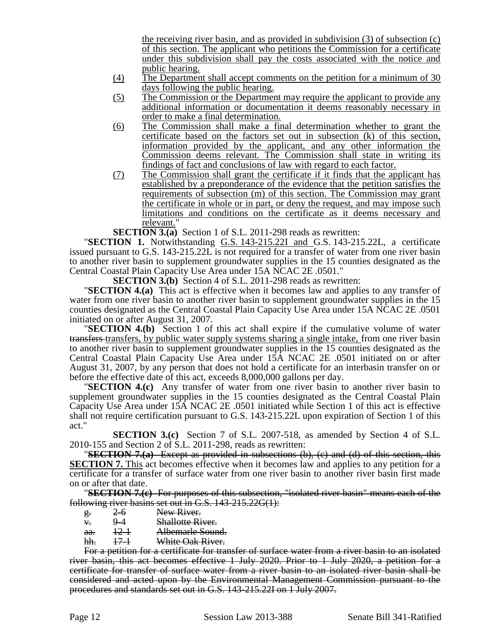the receiving river basin, and as provided in subdivision (3) of subsection (c) of this section. The applicant who petitions the Commission for a certificate under this subdivision shall pay the costs associated with the notice and public hearing.

- (4) The Department shall accept comments on the petition for a minimum of 30 days following the public hearing.
- (5) The Commission or the Department may require the applicant to provide any additional information or documentation it deems reasonably necessary in order to make a final determination.
- (6) The Commission shall make a final determination whether to grant the certificate based on the factors set out in subsection (k) of this section, information provided by the applicant, and any other information the Commission deems relevant. The Commission shall state in writing its findings of fact and conclusions of law with regard to each factor.
- (7) The Commission shall grant the certificate if it finds that the applicant has established by a preponderance of the evidence that the petition satisfies the requirements of subsection (m) of this section. The Commission may grant the certificate in whole or in part, or deny the request, and may impose such limitations and conditions on the certificate as it deems necessary and relevant."

**SECTION 3.(a)** Section 1 of S.L. 2011-298 reads as rewritten:

"**SECTION 1.** Notwithstanding G.S. 143-215.22I and G.S. 143-215.22L, a certificate issued pursuant to G.S. 143-215.22L is not required for a transfer of water from one river basin to another river basin to supplement groundwater supplies in the 15 counties designated as the Central Coastal Plain Capacity Use Area under 15A NCAC 2E .0501."

**SECTION 3.(b)** Section 4 of S.L. 2011-298 reads as rewritten:

"**SECTION 4.(a)** This act is effective when it becomes law and applies to any transfer of water from one river basin to another river basin to supplement groundwater supplies in the 15 counties designated as the Central Coastal Plain Capacity Use Area under 15A NCAC 2E .0501 initiated on or after August 31, 2007.

"**SECTION 4.(b)** Section 1 of this act shall expire if the cumulative volume of water transfers transfers, by public water supply systems sharing a single intake, from one river basin to another river basin to supplement groundwater supplies in the 15 counties designated as the Central Coastal Plain Capacity Use Area under 15A NCAC 2E .0501 initiated on or after August 31, 2007, by any person that does not hold a certificate for an interbasin transfer on or before the effective date of this act, exceeds 8,000,000 gallons per day.

"**SECTION 4.(c)** Any transfer of water from one river basin to another river basin to supplement groundwater supplies in the 15 counties designated as the Central Coastal Plain Capacity Use Area under 15A NCAC 2E .0501 initiated while Section 1 of this act is effective shall not require certification pursuant to G.S. 143-215.22L upon expiration of Section 1 of this act."

**SECTION 3.(c)** Section 7 of S.L. 2007-518, as amended by Section 4 of S.L. 2010-155 and Section 2 of S.L. 2011-298, reads as rewritten:

"**SECTION 7.(a)** Except as provided in subsections (b), (c) and (d) of this section, this **SECTION 7.** This act becomes effective when it becomes law and applies to any petition for a certificate for a transfer of surface water from one river basin to another river basin first made on or after that date.

"**SECTION 7.(c)** For purposes of this subsection, "isolated river basin" means each of the following river basins set out in G.S. 143-215.22G(1):

- g. 2–6 New River.<br>
4. 9–4 Shallotte Ri
- v. 9-4 Shallotte River.
- aa. 12-1 Albemarle Sound.
- hh. 17-1 White Oak River.

For a petition for a certificate for transfer of surface water from a river basin to an isolated river basin, this act becomes effective 1 July 2020. Prior to 1 July 2020, a petition for a certificate for transfer of surface water from a river basin to an isolated river basin shall be considered and acted upon by the Environmental Management Commission pursuant to the procedures and standards set out in G.S. 143-215.22I on 1 July 2007.